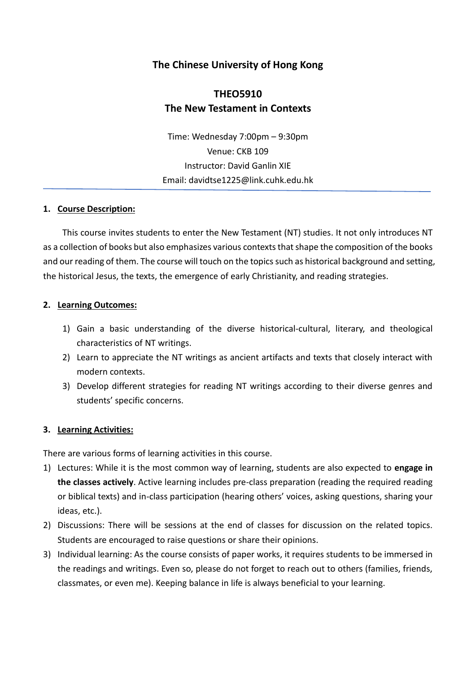# **The Chinese University of Hong Kong**

# **THEO5910 The New Testament in Contexts**

Time: Wednesday 7:00pm – 9:30pm Venue: CKB 109 Instructor: David Ganlin XIE Email: davidtse1225@link.cuhk.edu.hk

#### **1. Course Description:**

This course invites students to enter the New Testament (NT) studies. It not only introduces NT as a collection of books but also emphasizes various contexts that shape the composition of the books and our reading of them. The course will touch on the topics such as historical background and setting, the historical Jesus, the texts, the emergence of early Christianity, and reading strategies.

#### **2. Learning Outcomes:**

- 1) Gain a basic understanding of the diverse historical-cultural, literary, and theological characteristics of NT writings.
- 2) Learn to appreciate the NT writings as ancient artifacts and texts that closely interact with modern contexts.
- 3) Develop different strategies for reading NT writings according to their diverse genres and students' specific concerns.

#### **3. Learning Activities:**

There are various forms of learning activities in this course.

- 1) Lectures: While it is the most common way of learning, students are also expected to **engage in the classes actively**. Active learning includes pre-class preparation (reading the required reading or biblical texts) and in-class participation (hearing others' voices, asking questions, sharing your ideas, etc.).
- 2) Discussions: There will be sessions at the end of classes for discussion on the related topics. Students are encouraged to raise questions or share their opinions.
- 3) Individual learning: As the course consists of paper works, it requires students to be immersed in the readings and writings. Even so, please do not forget to reach out to others (families, friends, classmates, or even me). Keeping balance in life is always beneficial to your learning.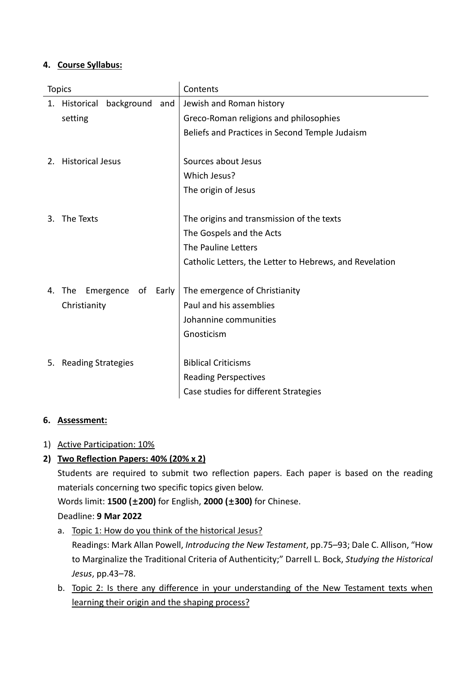# **4. Course Syllabus:**

| background<br>1. Historical<br>Jewish and Roman history<br>and<br>Greco-Roman religions and philosophies<br>setting<br>Beliefs and Practices in Second Temple Judaism<br><b>Historical Jesus</b><br>Sources about Jesus<br>2.<br>Which Jesus?<br>The origin of Jesus<br>The Texts<br>The origins and transmission of the texts<br>3.<br>The Gospels and the Acts<br>The Pauline Letters<br>Catholic Letters, the Letter to Hebrews, and Revelation<br>The<br>Emergence<br>of<br>Early<br>The emergence of Christianity<br>4.<br>Paul and his assemblies<br>Christianity<br>Johannine communities<br>Gnosticism<br><b>Biblical Criticisms</b><br><b>Reading Strategies</b><br>5.<br><b>Reading Perspectives</b><br>Case studies for different Strategies | <b>Topics</b> | Contents |  |
|---------------------------------------------------------------------------------------------------------------------------------------------------------------------------------------------------------------------------------------------------------------------------------------------------------------------------------------------------------------------------------------------------------------------------------------------------------------------------------------------------------------------------------------------------------------------------------------------------------------------------------------------------------------------------------------------------------------------------------------------------------|---------------|----------|--|
|                                                                                                                                                                                                                                                                                                                                                                                                                                                                                                                                                                                                                                                                                                                                                         |               |          |  |
|                                                                                                                                                                                                                                                                                                                                                                                                                                                                                                                                                                                                                                                                                                                                                         |               |          |  |
|                                                                                                                                                                                                                                                                                                                                                                                                                                                                                                                                                                                                                                                                                                                                                         |               |          |  |
|                                                                                                                                                                                                                                                                                                                                                                                                                                                                                                                                                                                                                                                                                                                                                         |               |          |  |
|                                                                                                                                                                                                                                                                                                                                                                                                                                                                                                                                                                                                                                                                                                                                                         |               |          |  |
|                                                                                                                                                                                                                                                                                                                                                                                                                                                                                                                                                                                                                                                                                                                                                         |               |          |  |
|                                                                                                                                                                                                                                                                                                                                                                                                                                                                                                                                                                                                                                                                                                                                                         |               |          |  |
|                                                                                                                                                                                                                                                                                                                                                                                                                                                                                                                                                                                                                                                                                                                                                         |               |          |  |
|                                                                                                                                                                                                                                                                                                                                                                                                                                                                                                                                                                                                                                                                                                                                                         |               |          |  |
|                                                                                                                                                                                                                                                                                                                                                                                                                                                                                                                                                                                                                                                                                                                                                         |               |          |  |
|                                                                                                                                                                                                                                                                                                                                                                                                                                                                                                                                                                                                                                                                                                                                                         |               |          |  |
|                                                                                                                                                                                                                                                                                                                                                                                                                                                                                                                                                                                                                                                                                                                                                         |               |          |  |
|                                                                                                                                                                                                                                                                                                                                                                                                                                                                                                                                                                                                                                                                                                                                                         |               |          |  |
|                                                                                                                                                                                                                                                                                                                                                                                                                                                                                                                                                                                                                                                                                                                                                         |               |          |  |
|                                                                                                                                                                                                                                                                                                                                                                                                                                                                                                                                                                                                                                                                                                                                                         |               |          |  |
|                                                                                                                                                                                                                                                                                                                                                                                                                                                                                                                                                                                                                                                                                                                                                         |               |          |  |
|                                                                                                                                                                                                                                                                                                                                                                                                                                                                                                                                                                                                                                                                                                                                                         |               |          |  |
|                                                                                                                                                                                                                                                                                                                                                                                                                                                                                                                                                                                                                                                                                                                                                         |               |          |  |
|                                                                                                                                                                                                                                                                                                                                                                                                                                                                                                                                                                                                                                                                                                                                                         |               |          |  |
|                                                                                                                                                                                                                                                                                                                                                                                                                                                                                                                                                                                                                                                                                                                                                         |               |          |  |
|                                                                                                                                                                                                                                                                                                                                                                                                                                                                                                                                                                                                                                                                                                                                                         |               |          |  |

### **6. Assessment:**

# 1) Active Participation: 10%

# **2) Two Reflection Papers: 40% (20% x 2)**

Students are required to submit two reflection papers. Each paper is based on the reading materials concerning two specific topics given below.

Words limit: **1500 (±200)** for English, **2000 (±300)** for Chinese.

Deadline: **9 Mar 2022**

- a. Topic 1: How do you think of the historical Jesus? Readings: Mark Allan Powell, *Introducing the New Testament*, pp.75–93; Dale C. Allison, "How to Marginalize the Traditional Criteria of Authenticity;" Darrell L. Bock, *Studying the Historical Jesus*, pp.43–78.
- b. Topic 2: Is there any difference in your understanding of the New Testament texts when learning their origin and the shaping process?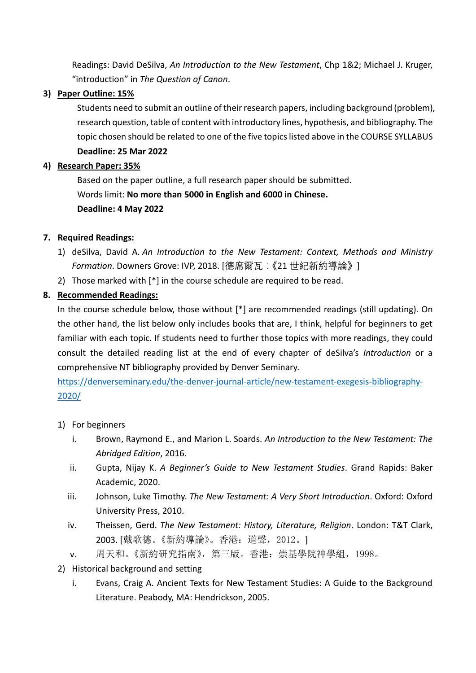Readings: David DeSilva, *An Introduction to the New Testament*, Chp 1&2; Michael J. Kruger, "introduction" in *The Question of Canon*.

## **3) Paper Outline: 15%**

Students need to submit an outline of their research papers, including background (problem), research question, table of content with introductory lines, hypothesis, and bibliography. The topic chosen should be related to one of the five topics listed above in the COURSE SYLLABUS **Deadline: 25 Mar 2022**

## **4) Research Paper: 35%**

Based on the paper outline, a full research paper should be submitted. Words limit: **No more than 5000 in English and 6000 in Chinese. Deadline: 4 May 2022**

### **7. Required Readings:**

- 1) deSilva, David A. *An Introduction to the New Testament: Context, Methods and Ministry Formation*. Downers Grove: IVP, 2018. [德席爾瓦:《21 世紀新約導論》]
- 2) Those marked with [\*] in the course schedule are required to be read.

# **8. Recommended Readings:**

In the course schedule below, those without [\*] are recommended readings (still updating). On the other hand, the list below only includes books that are, I think, helpful for beginners to get familiar with each topic. If students need to further those topics with more readings, they could consult the detailed reading list at the end of every chapter of deSilva's *Introduction* or a comprehensive NT bibliography provided by Denver Seminary.

[https://denverseminary.edu/the-denver-journal-article/new-testament-exegesis-bibliography-](https://denverseminary.edu/the-denver-journal-article/new-testament-exegesis-bibliography-2020/)[2020/](https://denverseminary.edu/the-denver-journal-article/new-testament-exegesis-bibliography-2020/)

- 1) For beginners
	- i. Brown, Raymond E., and Marion L. Soards. *An Introduction to the New Testament: The Abridged Edition*, 2016.
	- ii. Gupta, Nijay K. *A Beginner's Guide to New Testament Studies*. Grand Rapids: Baker Academic, 2020.
	- iii. Johnson, Luke Timothy. *The New Testament: A Very Short Introduction*. Oxford: Oxford University Press, 2010.
	- iv. Theissen, Gerd. *The New Testament: History, Literature, Religion*. London: T&T Clark, 2003. [戴歌德。《新約導論》。香港:道聲,2012。]
	- v. 周天和。《新約研究指南》,第三版。香港:崇基學院神學組,1998。
- 2) Historical background and setting
	- i. Evans, Craig A. Ancient Texts for New Testament Studies: A Guide to the Background Literature. Peabody, MA: Hendrickson, 2005.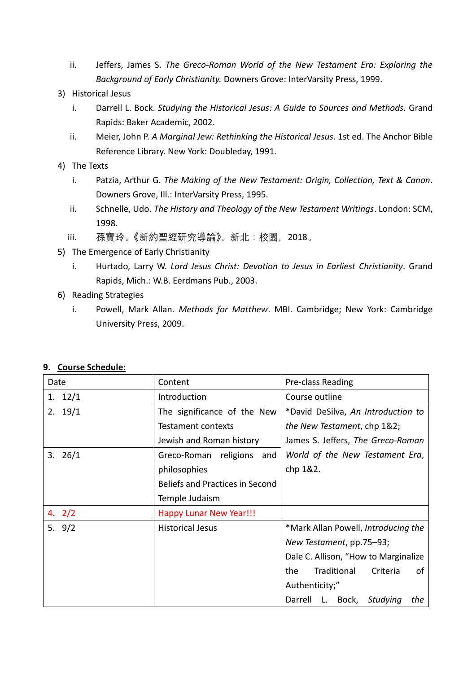- ii. Jeffers, James S. *The Greco-Roman World of the New Testament Era: Exploring the Background of Early Christianity.* Downers Grove: InterVarsity Press, 1999.
- 3) Historical Jesus
	- i. Darrell L. Bock. *Studying the Historical Jesus: A Guide to Sources and Methods.* Grand Rapids: Baker Academic, 2002.
	- ii. Meier, John P. *A Marginal Jew: Rethinking the Historical Jesus*. 1st ed. The Anchor Bible Reference Library. New York: Doubleday, 1991.
- 4) The Texts
	- i. Patzia, Arthur G. *The Making of the New Testament: Origin, Collection, Text & Canon*. Downers Grove, Ill.: InterVarsity Press, 1995.
	- ii. Schnelle, Udo. *The History and Theology of the New Testament Writings*. London: SCM, 1998.
	- iii. 孫寶玲。《新約聖經研究導論》。新北:校園,2018。
- 5) The Emergence of Early Christianity
	- i. Hurtado, Larry W. *Lord Jesus Christ: Devotion to Jesus in Earliest Christianity*. Grand Rapids, Mich.: W.B. Eerdmans Pub., 2003.
- 6) Reading Strategies
	- i. Powell, Mark Allan. *Methods for Matthew*. MBI. Cambridge; New York: Cambridge University Press, 2009.

| Date     | Content                         | Pre-class Reading                    |
|----------|---------------------------------|--------------------------------------|
| 1. 12/1  | Introduction                    | Course outline                       |
| 2.19/1   | The significance of the New     | *David DeSilva, An Introduction to   |
|          | <b>Testament contexts</b>       | the New Testament, chp 1&2;          |
|          | Jewish and Roman history        | James S. Jeffers, The Greco-Roman    |
| 3.26/1   | Greco-Roman religions<br>and    | World of the New Testament Era,      |
|          | philosophies                    | chp 1&2.                             |
|          | Beliefs and Practices in Second |                                      |
|          | Temple Judaism                  |                                      |
| 4. $2/2$ | <b>Happy Lunar New Year!!!</b>  |                                      |
| 5. $9/2$ | <b>Historical Jesus</b>         | *Mark Allan Powell, Introducing the  |
|          |                                 | New Testament, pp.75-93;             |
|          |                                 | Dale C. Allison, "How to Marginalize |
|          |                                 | Traditional<br>Criteria<br>the<br>οf |
|          |                                 | Authenticity;"                       |
|          |                                 | Darrell L. Bock, Studying<br>the     |

### **9. Course Schedule:**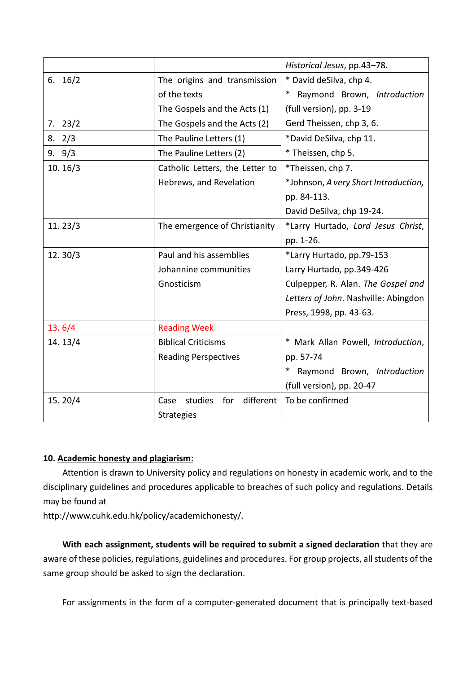|           |                                     | Historical Jesus, pp.43-78.          |
|-----------|-------------------------------------|--------------------------------------|
| 6. $16/2$ | The origins and transmission        | * David deSilva, chp 4.              |
|           | of the texts                        | Raymond Brown, Introduction          |
|           | The Gospels and the Acts (1)        | (full version), pp. 3-19             |
| 7.23/2    | The Gospels and the Acts (2)        | Gerd Theissen, chp 3, 6.             |
| 8.2/3     | The Pauline Letters (1)             | *David DeSilva, chp 11.              |
| 9.9/3     | The Pauline Letters (2)             | * Theissen, chp 5.                   |
| 10.16/3   | Catholic Letters, the Letter to     | *Theissen, chp 7.                    |
|           | Hebrews, and Revelation             | *Johnson, A very Short Introduction, |
|           |                                     | pp. 84-113.                          |
|           |                                     | David DeSilva, chp 19-24.            |
| 11.23/3   | The emergence of Christianity       | *Larry Hurtado, Lord Jesus Christ,   |
|           |                                     | pp. 1-26.                            |
| 12.30/3   | Paul and his assemblies             | *Larry Hurtado, pp.79-153            |
|           | Johannine communities               | Larry Hurtado, pp.349-426            |
|           | Gnosticism                          | Culpepper, R. Alan. The Gospel and   |
|           |                                     | Letters of John. Nashville: Abingdon |
|           |                                     | Press, 1998, pp. 43-63.              |
| 13.6/4    | <b>Reading Week</b>                 |                                      |
| 14.13/4   | <b>Biblical Criticisms</b>          | * Mark Allan Powell, Introduction,   |
|           | <b>Reading Perspectives</b>         | pp. 57-74                            |
|           |                                     | Raymond Brown, Introduction<br>∗     |
|           |                                     | (full version), pp. 20-47            |
| 15.20/4   | different<br>studies<br>for<br>Case | To be confirmed                      |
|           | <b>Strategies</b>                   |                                      |

### **10. Academic honesty and plagiarism:**

Attention is drawn to University policy and regulations on honesty in academic work, and to the disciplinary guidelines and procedures applicable to breaches of such policy and regulations. Details may be found at

http://www.cuhk.edu.hk/policy/academichonesty/.

**With each assignment, students will be required to submit a signed declaration** that they are aware of these policies, regulations, guidelines and procedures. For group projects, all students of the same group should be asked to sign the declaration.

For assignments in the form of a computer-generated document that is principally text-based